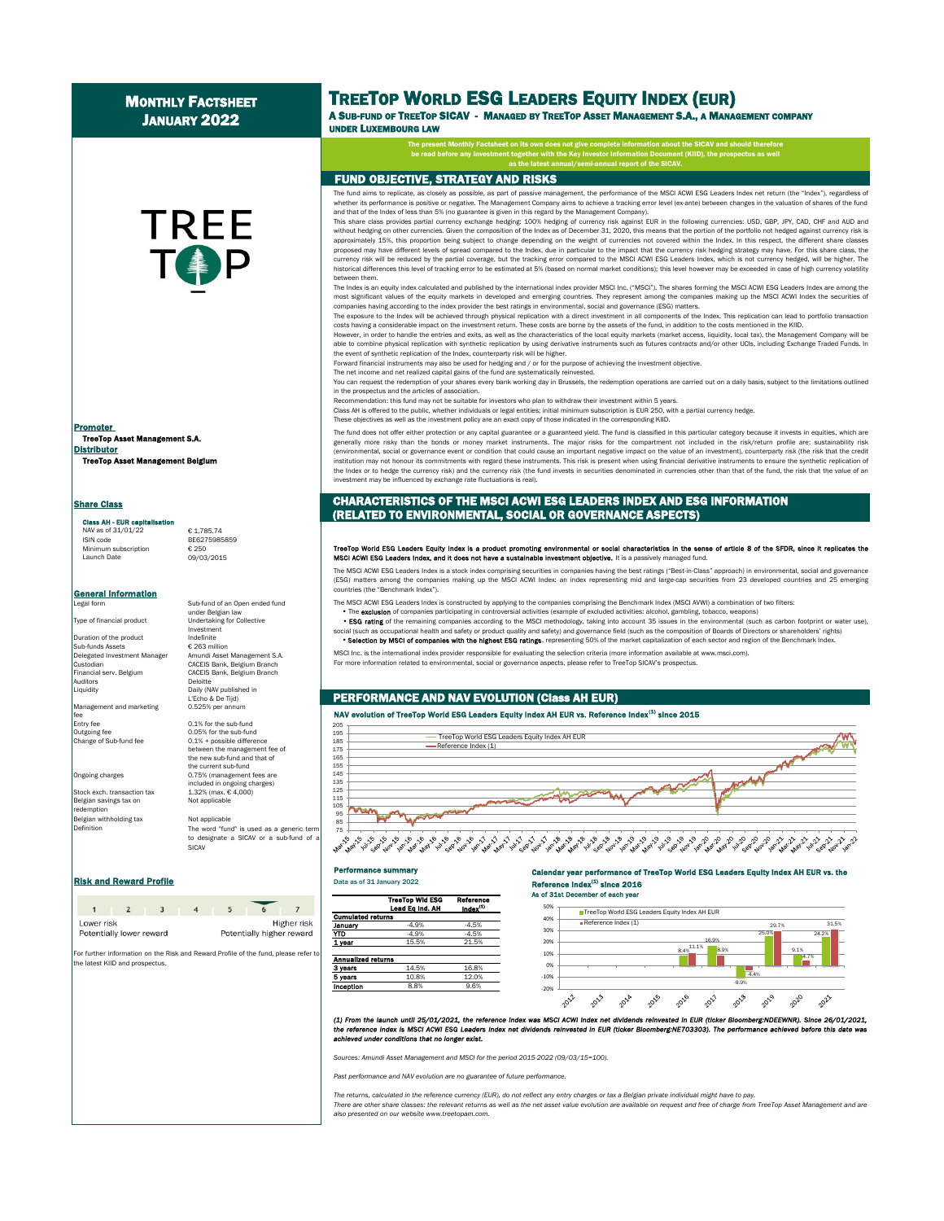# **MONTHLY FACTSHEET** JANUARY 2022

# **TREE To App**

TreeTop Asset Management S.A. **Distributor TreeTop Asset Management Belg** Promoter

#### Share Class Class AH - EUR can

NAV as of  $31/01/22$   $\qquad \qquad \begin{array}{l} \epsilon \\ \epsilon \end{array}$  1,785.74 Minimum subscription<br>Launch Date

**General Information** 

Duration of the product Indefinite<br>Sub-funds Assets € 263 million Sub-funds Assets<br>Delegated Investment Manager . . . . . . . . . .<br>Auditors

Management and marketing fee

Belgian savings tax on Not applicable redemption Belgian withholding tax Not applicable Definition

Sub-fund of an Open ended fund under Belgian law Type of financial product Undertaking for Collective Investment Delegated Investment Manager Amundi Asset Management S.A. Custodian CACEIS Bank, Belgium Branch CACEIS Bank, Belgium Branch Liquidity Daily (NAV published in L'Echo & De Tijd)<br>0.525% per annum

**BE6275985859**<br>€ 250

Launch Date 09/03/2015

Entry fee 0.1% for the sub-fund<br>
Outsoins fee 0.05% for the sub-fund Outgoing fee 0.05% for the sub-fund<br>Change of Sub-fund fee 0.1% + possible differe 0.1% + possible difference between the management fee of the new sub-fund and that of the current sub-fund Ongoing charges 0.75% (management fees are included in ongoing charges) Stock exch. transaction tax 1.32% (max. € 4,000)

> The word "fund" is used as a generic term to designate a SICAV or a sub-fund of SICAV

#### **Risk and Reward Profile Community Community 2022**

| Lower risk | Potentially lower reward |  |  | Higher risk<br>Potentially higher reward |
|------------|--------------------------|--|--|------------------------------------------|

For further information on the Risk and Reward Profile of the fund, please refer t the latest KIID and prospectus.

# TREETOP WORLD ESG LEADERS EQUITY INDEX (EUR)

A SUB-FUND OF TREETOP SICAV - MANAGED BY TREETOP ASSET MANAGEMENT S.A., A MANAGEMENT COMPANY UNDER LUXEMBOURG LAW

> The present Monthly Factsheet on its own does not give complete information about the SICAV and should therefore be read before any investment together with the Key Investor Information Document (KIID), the prospectus as well as the latest annual/semi-annual report of the SICAV.

#### FUND OBJECTIVE, STRATEGY AND RISKS

investment may be influenced by exchange rate fluctuations is real).

The fund aims to replicate, as closely as possible, as part of passive management, the performance of the MSCI ACWI ESG Leaders Index net return (the "Index"), regardless of whether its performance is positive or negative. The Management Company aims to achieve a tracking error level (ex-ante) between changes in the valuation of shares of the fund and that of the Index of less than 5% (no guarantee is given in this regard by the Management Company).

This share class provides partial currency exchange hedging: 100% hedging of currency risk against EUR in the following currencies: USD, GBP, JPY, CAD, CHF and AUD and without hedging on other currencies. Given the composition of the Index as of December 31, 2020, this means that the portion of the portfolio not hedged against currency risk is approximately 15%, this proportion being subject to change depending on the weight of currencies not covered within the Index. In this respect, the different share classes proposed may have different levels of spread compared to the Index, due in particular to the impact that the currency risk hedging strategy may have. For this share class, the currency risk will be reduced by the partial coverage, but the tracking error compared to the MSCI ACWI ESG Leaders Index, which is not currency hedged, will be higher. The historical differences this level of tracking error to be estimated at 5% (based on normal market conditions); this level however may be exceeded in case of high currency volatility between them.

The Index is an equity index calculated and published by the international index provider MSCI Inc. ("MSCI"). The shares forming the MSCI ACWI ESG Leaders Index are among the most significant values of the equity markets in developed and emerging countries. They represent among the companies making up the MSCI ACWI Index the securities of companies having according to the index provider the best ratings in environmental, social and governance (ESG) matters.

The exposure to the Index will be achieved through physical replication with a direct investment in all components of the Index. This replication can lead to portfolio transaction costs having a considerable impact on the investment return. These costs are borne by the assets of the fund, in addition to the costs mentioned in the KIID.

However, in order to handle the entries and exits, as well as the characteristics of the local equity markets (market access, liquidity, local tax), the Management Company will be able to combine physical replication with synthetic replication by using derivative instruments such as futures contracts and/or other UCIs, including Exchange Traded Funds. In the event of synthetic replication of the Index, counterparty risk will be higher.

Forward financial instruments may also be used for hedging and / or for the purpose of achieving the investment objective.

The net income and net realized capital gains of the fund are systematically reinvested.

You can request the redemption of your shares every bank working day in Brussels, the redemption operations are carried out on a daily basis, subject to the limitations outlined in the prospectus and the articles of association.

ndation: this fund may not be suitable for investors who plan to withdraw their investment within 5 years.

Class AH is offered to the public, whether individuals or legal entities; initial minimum subscription is EUR 250, with a partial currency hedge. These objectives as well as the investment policy are an exact copy of those indicated in the corresponding KIID.

The fund does not offer either protection or any capital guarantee or a guaranteed yield. The fund is classified in this particular category because it invests in equities, which are generally more risky than the bonds or money market instruments. The major risks for the compartment not included in the risk/return profile are: sustainability risk (environmental, social or governance event or condition that could cause an important negative impact on the value of an investment), counterparty risk (the risk that the credit institution may not honour its commitments with regard these instruments. This risk is present when using financial derivative instruments to ensure the synthetic replication of the Index or to hedge the currency risk) and the currency risk (the fund invests in securities denominated in currencies other than that of the fund, the risk that the value of an

### CHARACTERISTICS OF THE MSCI ACWI ESG LEADERS INDEX AND ESG INFORMATION (RELATED TO ENVIRONMENTAL, SOCIAL OR GOVERNANCE ASPECTS)

#### eTop World ESG Leaders Equity Index is a product promoting environmental or social characteristics in the sense of article 8 of the SFDR, since it repli MSCI ACWI ESG Leaders Index, and it does not have a sustainable investment objective. It is a passively managed fund.

The MSCI ACWI ESG Leaders Index is a stock index comprising securities in companies having the best ratings ("Best-in-Class" approach) in environmental, social and governance (ESG) matters among the companies making up the MSCI ACWI Index: an index representing mid and large-cap securities from 23 developed countries and 25 emerging countries (the "Benchmark Index").

- The MSCI ACWI ESG Leaders Index is constructed by applying to the companies comprising the Benchmark Index (MSCI AVWI) a combination of two filters:
	- The exclusion of companies participating in controversial activities (example of excluded activities: alcohol, gambling, tobacco, weapons)
- . ESG rating of the remaining companies according to the MSCI methodology, taking into account 35 issues in the environmental (such as carbon footprint or water u social (such as occupational health and safety or product quality and safety) and governance field (such as the composition of Boards of Directors or shareholders' rights)
- . Selection by MSCI of companies with the highest ESG ratings, representing 50% of the market capitalization of each sector and region of the Benchmark Index.

MSCI Inc. is the international index provider responsible for evaluating the selection criteria (more information available at www.msci.com). For more information related to environmental, social or governance aspects, please refer to TreeTop SICAV's prospectus.

#### PERFORMANCE AND NAV EVOLUTION (Class AH EUR)

#### NAV evolution of TreeTop World ESG Leaders Equity Index AH EUR vs. Reference Index<sup>(1)</sup> since 2015



## Performance summary

#### Calendar year performance of TreeTop World ESG Leaders Equity Index AH EUR vs. the Reference Index $^{(1)}$  since 2016 As of 31st December of each year



50% **TreeTop World ESG Leaders Equity Index AH EUR** 40% Reference Index (1) 29.7% 31.5% 30% 25.0% 24.2% 20% 16.9% 8.4%<sup>11.19</sup> 18.9% 10% 9.1% 4.7%  $\alpha$ -10%  $-4.4%$ -9.9% -20% 2012 2013 2019 2016 2017 2018 2019 2021 2014 2020

(1) From the launch until 25/01/2021, the reference index was MSCI ACWI index net dividends reinvested in EUR (ticker Bioomberg:NDEEWNR). Since 26/01/2021, the reference index is MSCI ACWI ESG Leaders index net dividends r e reference index is MSCI ACWI ESG Leaders index net dividends reinvested in EUR (ticker Bloomberg:NE703303). The perform *achieved under conditions that no longer exist.*

*Sources: Amundi Asset Management and MSCI for the period 2015-2022 (09/03/15=100).*

*Past performance and NAV evolution are no guarantee of future performance.*

*The returns, calculated in the reference currency (EUR), do not reflect any entry charges or tax a Belgian private individual might have to pay.*

There are other share classes: the relevant returns as well as the net asset value evolution are available on request and free of charge from TreeTop Asset Management and are *also presented on our website www.treetopam.com.*